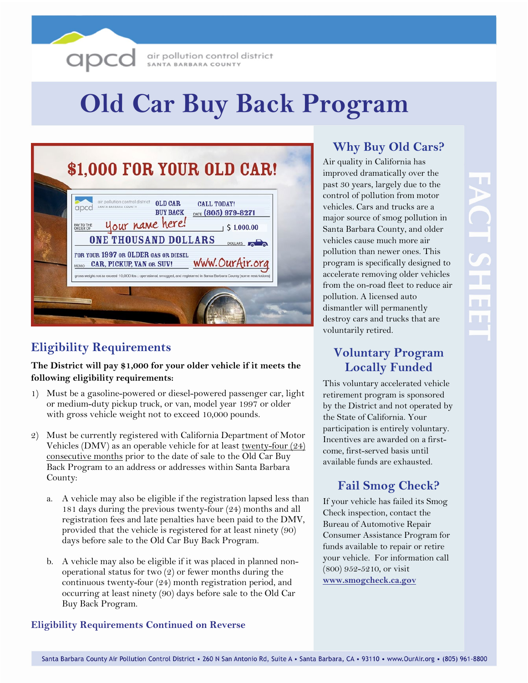

air pollution control district SANTA BARBARA COUNTY

# **Old Car Buy Back Program**

| \$1,000 FOR YOUR OLD CAR!                                                                                                                                                                                                                                                                                                                                                                                                                                                                       |
|-------------------------------------------------------------------------------------------------------------------------------------------------------------------------------------------------------------------------------------------------------------------------------------------------------------------------------------------------------------------------------------------------------------------------------------------------------------------------------------------------|
| air pollution control district<br><b>OLD CAR</b><br><b>CALL TODAY!</b><br>SANTA BARBARA COUNTY<br>apca<br><b>BUY BACK</b><br>DATE (805) 979-8271<br>your name here!<br>PAY TO THE<br>ORDER OF<br>\$1,000.00<br><b>ONE THOUSAND DOLLARS</b><br><b>DOLLARS</b> O<br>FOR YOUR 1997 OR OLDER GAS OR DIESEL<br>www.OurAir.org<br>CAR, PICKUP, VAN OR SUV!<br><b>MEMO</b><br>gross weight not to exceed 10,000 lbs : operational, smogged, and registered in Santa Barbara County (some restrictions) |
|                                                                                                                                                                                                                                                                                                                                                                                                                                                                                                 |

# **Eligibility Requirements**

#### **The District will pay \$1,000 for your older vehicle if it meets the following eligibility requirements:**

- 1) Must be a gasoline-powered or diesel-powered passenger car, light or medium-duty pickup truck, or van, model year 1997 or older with gross vehicle weight not to exceed 10,000 pounds.
- 2) Must be currently registered with California Department of Motor Vehicles (DMV) as an operable vehicle for at least <u>twenty-four  $(24)$ </u> consecutive months prior to the date of sale to the Old Car Buy Back Program to an address or addresses within Santa Barbara County:
	- a. A vehicle may also be eligible if the registration lapsed less than 181 days during the previous twenty-four (24) months and all registration fees and late penalties have been paid to the DMV, provided that the vehicle is registered for at least ninety (90) days before sale to the Old Car Buy Back Program.
	- b. A vehicle may also be eligible if it was placed in planned nonoperational status for two (2) or fewer months during the continuous twenty-four (24) month registration period, and occurring at least ninety (90) days before sale to the Old Car Buy Back Program.

#### **Eligibility Requirements Continued on Reverse**

# **Why Buy Old Cars?**

Air quality in California has improved dramatically over the past 30 years, largely due to the control of pollution from motor vehicles. Cars and trucks are a major source of smog pollution in Santa Barbara County, and older vehicles cause much more air pollution than newer ones. This program is specifically designed to accelerate removing older vehicles from the on-road fleet to reduce air pollution. A licensed auto dismantler will permanently destroy cars and trucks that are voluntarily retired.

## **Voluntary Program Locally Funded**

This voluntary accelerated vehicle retirement program is sponsored by the District and not operated by the State of California. Your participation is entirely voluntary. Incentives are awarded on a firstcome, first-served basis until available funds are exhausted.

## **Fail Smog Check?**

If your vehicle has failed its Smog Check inspection, contact the Bureau of Automotive Repair Consumer Assistance Program for funds available to repair or retire your vehicle. For information call (800) 952-5210, or visit **www.smogcheck.ca.gov**

**ACT SHEI**  $\Box$